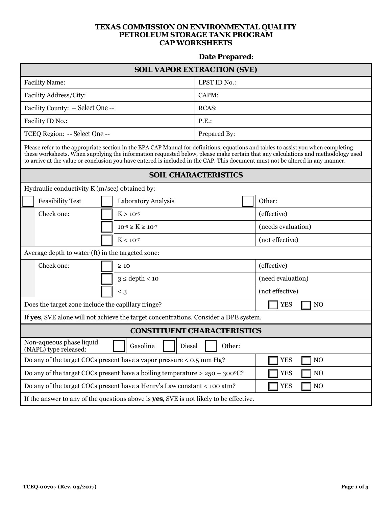## **TEXAS COMMISSION ON ENVIRONMENTAL QUALITY PETROLEUM STORAGE TANK PROGRAM CAP WORKSHEETS**

## **Date Prepared:**

| <b>SOIL VAPOR EXTRACTION (SVE)</b>                                                                                                                                                                                                                                                                                                                                                                      |                             |              |        |                              |  |  |  |
|---------------------------------------------------------------------------------------------------------------------------------------------------------------------------------------------------------------------------------------------------------------------------------------------------------------------------------------------------------------------------------------------------------|-----------------------------|--------------|--------|------------------------------|--|--|--|
| <b>Facility Name:</b>                                                                                                                                                                                                                                                                                                                                                                                   |                             | LPST ID No.: |        |                              |  |  |  |
| Facility Address/City:                                                                                                                                                                                                                                                                                                                                                                                  |                             | CAPM:        |        |                              |  |  |  |
| Facility County: -- Select One --                                                                                                                                                                                                                                                                                                                                                                       |                             | RCAS:        |        |                              |  |  |  |
| Facility ID No.:                                                                                                                                                                                                                                                                                                                                                                                        |                             | P.E.         |        |                              |  |  |  |
| TCEQ Region: -- Select One --                                                                                                                                                                                                                                                                                                                                                                           |                             | Prepared By: |        |                              |  |  |  |
| Please refer to the appropriate section in the EPA CAP Manual for definitions, equations and tables to assist you when completing<br>these worksheets. When supplying the information requested below, please make certain that any calculations and methodology used<br>to arrive at the value or conclusion you have entered is included in the CAP. This document must not be altered in any manner. |                             |              |        |                              |  |  |  |
| <b>SOIL CHARACTERISTICS</b>                                                                                                                                                                                                                                                                                                                                                                             |                             |              |        |                              |  |  |  |
| Hydraulic conductivity K (m/sec) obtained by:                                                                                                                                                                                                                                                                                                                                                           |                             |              |        |                              |  |  |  |
| <b>Feasibility Test</b>                                                                                                                                                                                                                                                                                                                                                                                 | Laboratory Analysis         |              | Other: |                              |  |  |  |
| Check one:                                                                                                                                                                                                                                                                                                                                                                                              | $K > 10^{-5}$               |              |        | (effective)                  |  |  |  |
|                                                                                                                                                                                                                                                                                                                                                                                                         | $10^{-5} \ge K \ge 10^{-7}$ |              |        | (needs evaluation)           |  |  |  |
|                                                                                                                                                                                                                                                                                                                                                                                                         | $K < 10^{-7}$               |              |        | (not effective)              |  |  |  |
| Average depth to water (ft) in the targeted zone:                                                                                                                                                                                                                                                                                                                                                       |                             |              |        |                              |  |  |  |
| Check one:                                                                                                                                                                                                                                                                                                                                                                                              | $\geq 10$                   |              |        | (effective)                  |  |  |  |
|                                                                                                                                                                                                                                                                                                                                                                                                         | $3 \le$ depth < 10          |              |        | (need evaluation)            |  |  |  |
|                                                                                                                                                                                                                                                                                                                                                                                                         | $\leq$ 3                    |              |        | (not effective)              |  |  |  |
| Does the target zone include the capillary fringe?                                                                                                                                                                                                                                                                                                                                                      |                             |              |        | <b>YES</b><br>N <sub>O</sub> |  |  |  |
| If yes, SVE alone will not achieve the target concentrations. Consider a DPE system.                                                                                                                                                                                                                                                                                                                    |                             |              |        |                              |  |  |  |
| <b>CONSTITUENT CHARACTERISTICS</b>                                                                                                                                                                                                                                                                                                                                                                      |                             |              |        |                              |  |  |  |
| Non-aqueous phase liquid<br>(NAPL) type released:                                                                                                                                                                                                                                                                                                                                                       | Diesel<br>Gasoline          | Other:       |        |                              |  |  |  |
| Do any of the target COCs present have a vapor pressure $<$ 0.5 mm Hg?                                                                                                                                                                                                                                                                                                                                  | <b>YES</b><br>NO            |              |        |                              |  |  |  |
| Do any of the target COCs present have a boiling temperature $> 250 - 300$ °C?                                                                                                                                                                                                                                                                                                                          |                             |              |        | <b>YES</b><br>N <sub>O</sub> |  |  |  |
| Do any of the target COCs present have a Henry's Law constant < 100 atm?                                                                                                                                                                                                                                                                                                                                |                             |              |        | <b>YES</b><br>NO             |  |  |  |
| If the answer to any of the questions above is yes, SVE is not likely to be effective.                                                                                                                                                                                                                                                                                                                  |                             |              |        |                              |  |  |  |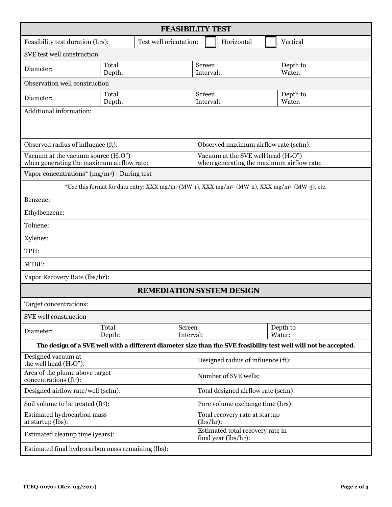| <b>FEASIBILITY TEST</b>                                                                                                         |                 |                                                          |                                                                                     |                                                                                                                  |  |  |  |
|---------------------------------------------------------------------------------------------------------------------------------|-----------------|----------------------------------------------------------|-------------------------------------------------------------------------------------|------------------------------------------------------------------------------------------------------------------|--|--|--|
| Feasibility test duration (hrs):<br>Test well orientation:                                                                      |                 |                                                          | Horizontal                                                                          | Vertical                                                                                                         |  |  |  |
| SVE test well construction                                                                                                      |                 |                                                          |                                                                                     |                                                                                                                  |  |  |  |
| Diameter:                                                                                                                       | Total<br>Depth: |                                                          | Screen<br>Interval:                                                                 | Depth to<br>Water:                                                                                               |  |  |  |
| Observation well construction                                                                                                   |                 |                                                          |                                                                                     |                                                                                                                  |  |  |  |
| Diameter:                                                                                                                       | Total<br>Depth: |                                                          | Screen<br>Interval:                                                                 | Depth to<br>Water:                                                                                               |  |  |  |
| Additional information:                                                                                                         |                 |                                                          |                                                                                     |                                                                                                                  |  |  |  |
| Observed radius of influence (ft):<br>Observed maximum airflow rate (scfm):                                                     |                 |                                                          |                                                                                     |                                                                                                                  |  |  |  |
| Vacuum at the vacuum source $(H_2O'')$<br>when generating the maximum airflow rate:                                             |                 |                                                          | Vacuum at the SVE well head $(H_2O'')$<br>when generating the maximum airflow rate: |                                                                                                                  |  |  |  |
| Vapor concentrations* $(mg/m3)$ - During test                                                                                   |                 |                                                          |                                                                                     |                                                                                                                  |  |  |  |
| *Use this format for data entry: XXX mg/m <sup>3</sup> (MW-1), XXX mg/m <sup>3</sup> (MW-2), XXX mg/m <sup>3</sup> (MW-3), etc. |                 |                                                          |                                                                                     |                                                                                                                  |  |  |  |
| Benzene:                                                                                                                        |                 |                                                          |                                                                                     |                                                                                                                  |  |  |  |
| Ethylbenzene:                                                                                                                   |                 |                                                          |                                                                                     |                                                                                                                  |  |  |  |
| Toluene:                                                                                                                        |                 |                                                          |                                                                                     |                                                                                                                  |  |  |  |
| Xylenes:                                                                                                                        |                 |                                                          |                                                                                     |                                                                                                                  |  |  |  |
| TPH:                                                                                                                            |                 |                                                          |                                                                                     |                                                                                                                  |  |  |  |
| MTBE:                                                                                                                           |                 |                                                          |                                                                                     |                                                                                                                  |  |  |  |
| Vapor Recovery Rate (lbs/hr):                                                                                                   |                 |                                                          |                                                                                     |                                                                                                                  |  |  |  |
| <b>REMEDIATION SYSTEM DESIGN</b>                                                                                                |                 |                                                          |                                                                                     |                                                                                                                  |  |  |  |
| Target concentrations:                                                                                                          |                 |                                                          |                                                                                     |                                                                                                                  |  |  |  |
| SVE well construction                                                                                                           |                 |                                                          |                                                                                     |                                                                                                                  |  |  |  |
| Diameter:                                                                                                                       | Total<br>Depth: | Screen<br>Interval:                                      |                                                                                     | Depth to<br>Water:                                                                                               |  |  |  |
|                                                                                                                                 |                 |                                                          |                                                                                     | The design of a SVE well with a different diameter size than the SVE feasibility test well will not be accepted. |  |  |  |
| Designed vacuum at<br>the well head $(H2O")$ :                                                                                  |                 | Designed radius of influence (ft):                       |                                                                                     |                                                                                                                  |  |  |  |
| Area of the plume above target<br>concentrations (ft <sup>2</sup> ):                                                            |                 | Number of SVE wells:                                     |                                                                                     |                                                                                                                  |  |  |  |
| Designed airflow rate/well (scfm):                                                                                              |                 | Total designed airflow rate (scfm):                      |                                                                                     |                                                                                                                  |  |  |  |
| Soil volume to be treated (ft3):                                                                                                |                 | Pore volume exchange time (hrs):                         |                                                                                     |                                                                                                                  |  |  |  |
| Estimated hydrocarbon mass<br>at startup (lbs):                                                                                 |                 | Total recovery rate at startup<br>(lbs/hr):              |                                                                                     |                                                                                                                  |  |  |  |
| Estimated cleanup time (years):                                                                                                 |                 | Estimated total recovery rate in<br>final year (lbs/hr): |                                                                                     |                                                                                                                  |  |  |  |
| Estimated final hydrocarbon mass remaining (lbs):                                                                               |                 |                                                          |                                                                                     |                                                                                                                  |  |  |  |